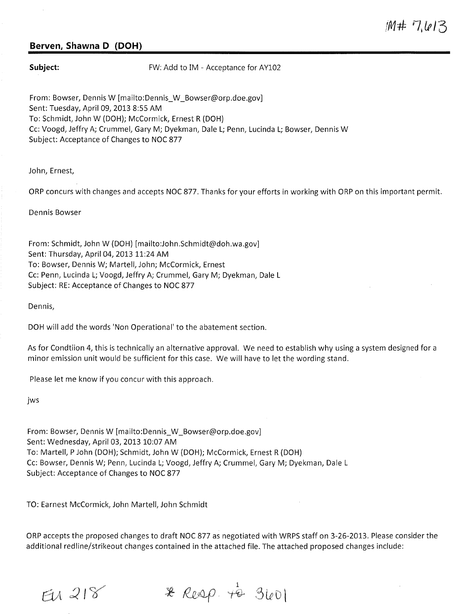## **Berven, Shawna D (DOH)**

**Subject:** FW: Add to IM - Acceptance for AY102

From: Bowser, Dennis W [mailto:Dennis\_W\_Bowser@orp.doe.gov] Sent: Tuesday, April 09, 2013 8:55 AM To: Schmidt, John W (DOH); McCormick, Ernest R (DOH) Cc: Voogd, Jeffry A; Crummel, Gary M; Dyekman, Dale L; Penn, Lucinda L; Bowser, Dennis W Subject: Acceptance of Changes to NOC 877

John, Ernest,

ORP concurs with changes and accepts NOC 877. Thanks for your efforts in working with ORP on this important permit.

Dennis Bowser

From: Schmidt, John W (DOH) [mailto:John.Schmidt@doh.wa.gov] Sent: Thursday, April 04, 2013 11:24 AM To: Bowser, Dennis W; Martell, John; McCormick, Ernest Cc: Penn, Lucinda L; Voogd, Jeffry A; Crummel, Gary M; Dyekman, Dale L Subject: RE: Acceptance of Changes to NOC 877

Dennis,

DOH will add the words 'Non Operational' to the abatement section.

As for Condtiion 4, this is technically an alternative approval. We need to establish why using a system designed for a minor emission unit would be sufficient for this case. We will have to let the wording stand.

Please let me know if you concur with this approach.

jws

From: Bowser, Dennis W [mailto:Dennis\_W\_Bowser@orp.doe.gov] Sent: Wednesday, April 03, 2013 10:07 AM To: Martell, P John (DOH); Schmidt, John W (DOH); McCormick, Ernest R (DOH) Cc: Bowser, Dennis W; Penn, Lucinda L; Voogd, Jeffry A; Crummel, Gary M; Dyekman, Dale L Subject: Acceptance of Changes to NOC 877

TO: Earnest McCormick, John Martell, John Schmidt

ORP accepts the proposed changes to draft NOC 877 as negotiated with WRPS staff on 3-26-2013. Please consider the additional redline/strikeout changes contained in the attached file. The attached proposed changes include:

 $E1218$ 

 $x \text{ } Reap. \neq 3601$